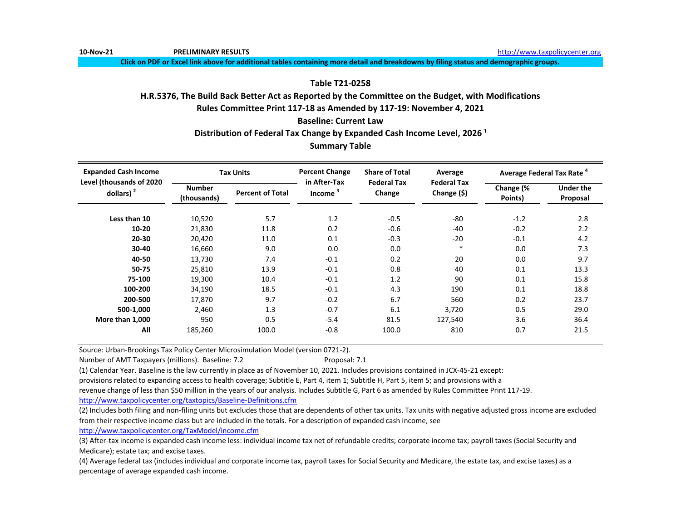**10-Nov-21 PRELIMINARY RESULTS** [http://www.t](http://www.taxpolicycenter.org/)axpolicycenter.org

**Click on PDF or Excel link above for additional tables containing more detail and breakdowns by filing status and demographic groups.**

# **Table T21-0258**

# **H.R.5376, The Build Back Better Act as Reported by the Committee on the Budget, with Modifications**

**Rules Committee Print 117-18 as Amended by 117-19: November 4, 2021**

**Baseline: Current Law**

Distribution of Federal Tax Change by Expanded Cash Income Level, 2026<sup>1</sup>

# **Summary Table**

| <b>Expanded Cash Income</b><br>Level (thousands of 2020 |                              | <b>Tax Units</b>        | <b>Percent Change</b><br>in After-Tax | <b>Share of Total</b>        | Average                           | Average Federal Tax Rate <sup>4</sup> |                              |
|---------------------------------------------------------|------------------------------|-------------------------|---------------------------------------|------------------------------|-----------------------------------|---------------------------------------|------------------------------|
| dollars) $2$                                            | <b>Number</b><br>(thousands) | <b>Percent of Total</b> | Income                                | <b>Federal Tax</b><br>Change | <b>Federal Tax</b><br>Change (\$) | Change (%<br>Points)                  | <b>Under the</b><br>Proposal |
| Less than 10                                            | 10,520                       | 5.7                     | 1.2                                   | $-0.5$                       | $-80$                             | $-1.2$                                | 2.8                          |
| $10 - 20$                                               | 21,830                       | 11.8                    | 0.2                                   | $-0.6$                       | $-40$                             | $-0.2$                                | 2.2                          |
| 20-30                                                   | 20.420                       | 11.0                    | 0.1                                   | $-0.3$                       | $-20$                             | $-0.1$                                | 4.2                          |
| 30-40                                                   | 16,660                       | 9.0                     | 0.0                                   | 0.0                          | $\ast$                            | 0.0                                   | 7.3                          |
| 40-50                                                   | 13,730                       | 7.4                     | $-0.1$                                | 0.2                          | 20                                | 0.0                                   | 9.7                          |
| 50-75                                                   | 25,810                       | 13.9                    | $-0.1$                                | 0.8                          | 40                                | 0.1                                   | 13.3                         |
| 75-100                                                  | 19,300                       | 10.4                    | $-0.1$                                | 1.2                          | 90                                | 0.1                                   | 15.8                         |
| 100-200                                                 | 34,190                       | 18.5                    | $-0.1$                                | 4.3                          | 190                               | 0.1                                   | 18.8                         |
| 200-500                                                 | 17.870                       | 9.7                     | $-0.2$                                | 6.7                          | 560                               | 0.2                                   | 23.7                         |
| 500-1,000                                               | 2.460                        | 1.3                     | $-0.7$                                | 6.1                          | 3,720                             | 0.5                                   | 29.0                         |
| More than 1,000                                         | 950                          | 0.5                     | $-5.4$                                | 81.5                         | 127,540                           | 3.6                                   | 36.4                         |
| All                                                     | 185,260                      | 100.0                   | $-0.8$                                | 100.0                        | 810                               | 0.7                                   | 21.5                         |

Source: Urban-Brookings Tax Policy Center Microsimulation Model (version 0721-2).

Number of AMT Taxpayers (millions). Baseline: 7.2 Proposal: 7.1

(1) Calendar Year. Baseline is the law currently in place as of November 10, 2021. Includes provisions contained in JCX-45-21 except:

provisions related to expanding access to health coverage; Subtitle E, Part 4, item 1; Subtitle H, Part 5, item 5; and provisions with a

revenue change of less than \$50 million in the years of our analysis. Includes Subtitle G, Part 6 as amended by Rules Committee Print 117-19.

[http://www.taxpolicycente](http://www.taxpolicycenter.org/taxtopics/Baseline-Definitions.cfm)r.org/taxtopics/Baseline-Definitions.cfm

(2) Includes both filing and non-filing units but excludes those that are dependents of other tax units. Tax units with negative adjusted gross income are excluded from their respective income class but are included in the totals. For a description of expanded cash income, see

[http://www.taxpolicycente](http://www.taxpolicycenter.org/TaxModel/income.cfm)r.org/TaxModel/income.cfm

(3) After-tax income is expanded cash income less: individual income tax net of refundable credits; corporate income tax; payroll taxes (Social Security and Medicare); estate tax; and excise taxes.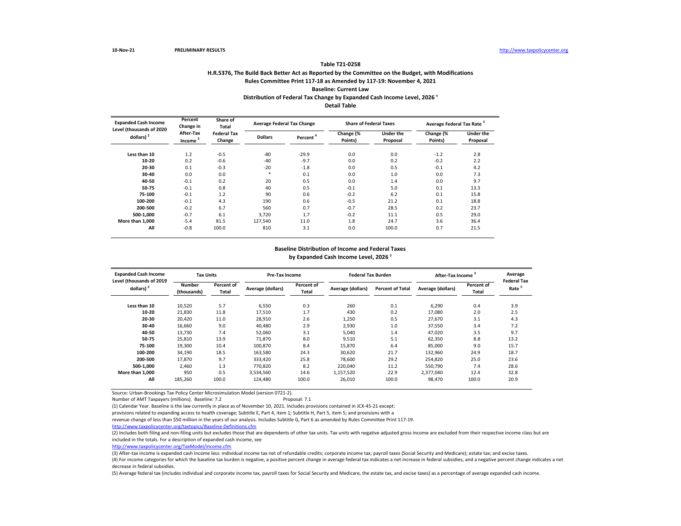## **H.R.5376, The Build Back Better Act as Reported by the Committee on the Budget, with Modifications Rules Committee Print 117-18 as Amended by 117-19: November 4, 2021 Baseline: Current Law Table T21-0258 Distribution of Federal Tax Change by Expanded Cash Income Level, 2026<sup>1</sup> Detail Table**

| <b>Expanded Cash Income</b>              | Percent<br>Change in             | Share of<br><b>Total</b>     | <b>Average Federal Tax Change</b> |                      | <b>Share of Federal Taxes</b> |                              | Average Federal Tax Rate <sup>5</sup> |                              |
|------------------------------------------|----------------------------------|------------------------------|-----------------------------------|----------------------|-------------------------------|------------------------------|---------------------------------------|------------------------------|
| Level (thousands of 2020<br>dollars) $2$ | After-Tax<br>Income <sup>3</sup> | <b>Federal Tax</b><br>Change | <b>Dollars</b>                    | Percent <sup>4</sup> | Change (%<br>Points)          | <b>Under the</b><br>Proposal | Change (%<br>Points)                  | <b>Under the</b><br>Proposal |
| Less than 10                             | 1.2                              | $-0.5$                       | $-80$                             | $-29.9$              | 0.0                           | 0.0                          | $-1.2$                                | 2.8                          |
| 10-20                                    | 0.2                              | $-0.6$                       | $-40$                             | $-9.7$               | 0.0                           | 0.2                          | $-0.2$                                | 2.2                          |
| 20-30                                    | 0.1                              | $-0.3$                       | $-20$                             | $-1.8$               | 0.0                           | 0.5                          | $-0.1$                                | 4.2                          |
| 30-40                                    | 0.0                              | 0.0                          | $\ast$                            | 0.1                  | 0.0                           | 1.0                          | 0.0                                   | 7.3                          |
| 40-50                                    | $-0.1$                           | 0.2                          | 20                                | 0.5                  | 0.0                           | 1.4                          | 0.0                                   | 9.7                          |
| 50-75                                    | $-0.1$                           | 0.8                          | 40                                | 0.5                  | $-0.1$                        | 5.0                          | 0.1                                   | 13.3                         |
| 75-100                                   | $-0.1$                           | 1.2                          | 90                                | 0.6                  | $-0.2$                        | 6.2                          | 0.1                                   | 15.8                         |
| 100-200                                  | $-0.1$                           | 4.3                          | 190                               | 0.6                  | $-0.5$                        | 21.2                         | 0.1                                   | 18.8                         |
| 200-500                                  | $-0.2$                           | 6.7                          | 560                               | 0.7                  | $-0.7$                        | 28.5                         | 0.2                                   | 23.7                         |
| 500-1.000                                | $-0.7$                           | 6.1                          | 3,720                             | 1.7                  | $-0.2$                        | 11.1                         | 0.5                                   | 29.0                         |
| More than 1,000                          | $-5.4$                           | 81.5                         | 127,540                           | 11.0                 | 1.8                           | 24.7                         | 3.6                                   | 36.4                         |
| All                                      | $-0.8$                           | 100.0                        | 810                               | 3.1                  | 0.0                           | 100.0                        | 0.7                                   | 21.5                         |

#### by Expanded Cash Income Level, 2026<sup>1</sup> **Baseline Distribution of Income and Federal Taxes**

| <b>Expanded Cash Income</b><br>Level (thousands of 2019 | <b>Tax Units</b>      |                     | <b>Pre-Tax Income</b> |                     | <b>Federal Tax Burden</b> |                         | After-Tax Income <sup>3</sup> |                     | Average<br><b>Federal Tax</b> |
|---------------------------------------------------------|-----------------------|---------------------|-----------------------|---------------------|---------------------------|-------------------------|-------------------------------|---------------------|-------------------------------|
| dollars) <sup>2</sup>                                   | Number<br>(thousands) | Percent of<br>Total | Average (dollars)     | Percent of<br>Total | Average (dollars)         | <b>Percent of Total</b> | Average (dollars)             | Percent of<br>Total | Rate <sup>5</sup>             |
| Less than 10                                            | 10,520                | 5.7                 | 6.550                 | 0.3                 | 260                       | 0.1                     | 6.290                         | 0.4                 | 3.9                           |
| $10 - 20$                                               | 21,830                | 11.8                | 17,510                | 1.7                 | 430                       | 0.2                     | 17,080                        | 2.0                 | 2.5                           |
| 20-30                                                   | 20,420                | 11.0                | 28,910                | 2.6                 | 1,250                     | 0.5                     | 27.670                        | 3.1                 | 4.3                           |
| 30-40                                                   | 16,660                | 9.0                 | 40,480                | 2.9                 | 2,930                     | 1.0                     | 37,550                        | 3.4                 | 7.2                           |
| 40-50                                                   | 13,730                | 7.4                 | 52,060                | 3.1                 | 5,040                     | 1.4                     | 47,020                        | 3.5                 | 9.7                           |
| 50-75                                                   | 25,810                | 13.9                | 71,870                | 8.0                 | 9,510                     | 5.1                     | 62,350                        | 8.8                 | 13.2                          |
| 75-100                                                  | 19,300                | 10.4                | 100,870               | 8.4                 | 15,870                    | 6.4                     | 85,000                        | 9.0                 | 15.7                          |
| 100-200                                                 | 34,190                | 18.5                | 163,580               | 24.3                | 30,620                    | 21.7                    | 132,960                       | 24.9                | 18.7                          |
| 200-500                                                 | 17.870                | 9.7                 | 333,420               | 25.8                | 78.600                    | 29.2                    | 254.820                       | 25.0                | 23.6                          |
| 500-1.000                                               | 2.460                 | 1.3                 | 770.820               | 8.2                 | 220.040                   | 11.2                    | 550.790                       | 7.4                 | 28.6                          |
| More than 1.000                                         | 950                   | 0.5                 | 3.534.560             | 14.6                | 1,157,520                 | 22.9                    | 2.377.040                     | 12.4                | 32.8                          |
| All                                                     | 185,260               | 100.0               | 124,480               | 100.0               | 26,010                    | 100.0                   | 98,470                        | 100.0               | 20.9                          |

Source: Urban-Brookings Tax Policy Center Microsimulation Model (version 0721-2).

Number of AMT Taxpayers (millions). Baseline: 7.2 Proposal: 7.1

(1) Calendar Year. Baseline is the law currently in place as of November 10, 2021. Includes provisions contained in JCX-45-21 except:

provisions related to expanding access to health coverage; Subtitle E, Part 4, item 1; Subtitle H, Part 5, item 5; and provisions with a

revenue change of less than \$50 million in the years of our analysis. Includes Subtitle G, Part 6 as amended by Rules Committee Print 117-19.

<http://www.taxpolicycenter.org/taxtopics/Baseline-Definitions.cfm>

(2) Includes both filing and non-filing units but excludes those that are dependents of other tax units. Tax units with negative adjusted gross income are excluded from their respective income class but are included in the totals. For a description of expanded cash income, see

[http://www.taxpolicycente](http://www.taxpolicycenter.org/TaxModel/income.cfm)r.org/TaxModel/income.cfm

(3) After-tax income is expanded cash income less: individual income tax net of refundable credits; corporate income tax; payroll taxes (Social Security and Medicare); estate tax; and excise taxes.

(4) For income categories for which the baseline tax burden is negative, a positive percent change in average federal tax indicates a net increase in federal subsidies, and a negative percent change indicates a net decrease in federal subsidies.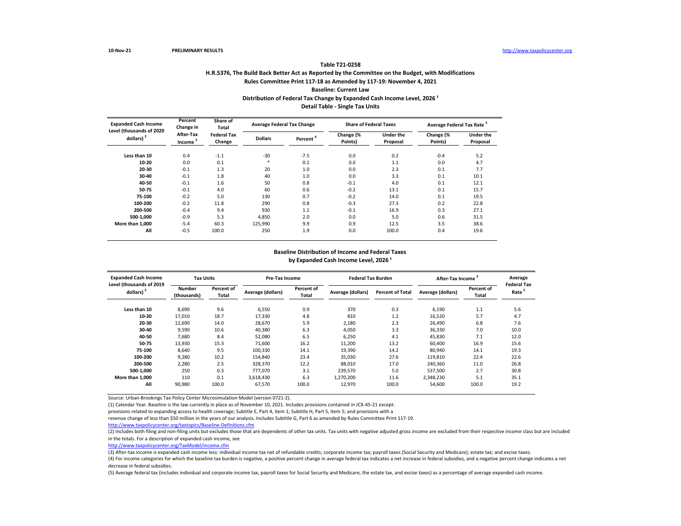## **H.R.5376, The Build Back Better Act as Reported by the Committee on the Budget, with Modifications Rules Committee Print 117-18 as Amended by 117-19: November 4, 2021 Baseline: Current Law Table T21-0258** Distribution of Federal Tax Change by Expanded Cash Income Level, 2026<sup>1</sup> **Detail Table - Single Tax Units**

| <b>Expanded Cash Income</b>              | Percent<br>Change in             | Share of<br><b>Average Federal Tax Change</b><br>Total |                |                      | <b>Share of Federal Taxes</b> |                              | Average Federal Tax Rate <sup>5</sup> |                       |  |
|------------------------------------------|----------------------------------|--------------------------------------------------------|----------------|----------------------|-------------------------------|------------------------------|---------------------------------------|-----------------------|--|
| Level (thousands of 2020<br>dollars) $2$ | After-Tax<br>Income <sup>3</sup> | <b>Federal Tax</b><br>Change                           | <b>Dollars</b> | Percent <sup>'</sup> | Change (%<br>Points)          | <b>Under the</b><br>Proposal | Change (%<br>Points)                  | Under the<br>Proposal |  |
| Less than 10                             | 0.4                              | $-1.1$                                                 | $-30$          | $-7.5$               | 0.0                           | 0.2                          | $-0.4$                                | 5.2                   |  |
| 10-20                                    | 0.0                              | 0.1                                                    | $\ast$         | 0.1                  | 0.0                           | 1.1                          | 0.0                                   | 4.7                   |  |
| 20-30                                    | $-0.1$                           | 1.3                                                    | 20             | 1.0                  | 0.0                           | 2.3                          | 0.1                                   | 7.7                   |  |
| 30-40                                    | $-0.1$                           | 1.8                                                    | 40             | 1.0                  | 0.0                           | 3.3                          | 0.1                                   | 10.1                  |  |
| 40-50                                    | $-0.1$                           | 1.6                                                    | 50             | 0.8                  | $-0.1$                        | 4.0                          | 0.1                                   | 12.1                  |  |
| 50-75                                    | $-0.1$                           | 4.0                                                    | 60             | 0.6                  | $-0.2$                        | 13.1                         | 0.1                                   | 15.7                  |  |
| 75-100                                   | $-0.2$                           | 5.0                                                    | 130            | 0.7                  | $-0.2$                        | 14.0                         | 0.1                                   | 19.5                  |  |
| 100-200                                  | $-0.2$                           | 11.8                                                   | 290            | 0.8                  | $-0.3$                        | 27.3                         | 0.2                                   | 22.8                  |  |
| 200-500                                  | $-0.4$                           | 9.4                                                    | 930            | 1.1                  | $-0.1$                        | 16.9                         | 0.3                                   | 27.1                  |  |
| 500-1,000                                | $-0.9$                           | 5.3                                                    | 4,850          | 2.0                  | 0.0                           | 5.0                          | 0.6                                   | 31.5                  |  |
| More than 1.000                          | $-5.4$                           | 60.3                                                   | 125,990        | 9.9                  | 0.9                           | 12.5                         | 3.5                                   | 38.6                  |  |
| All                                      | $-0.5$                           | 100.0                                                  | 250            | 1.9                  | 0.0                           | 100.0                        | 0.4                                   | 19.6                  |  |

### **Baseline Distribution of Income and Federal Taxes** by Expanded Cash Income Level, 2026<sup>1</sup>

| <b>Expanded Cash Income</b>              | <b>Tax Units</b>      |                     | <b>Pre-Tax Income</b> |                     | <b>Federal Tax Burden</b> |                         | After-Tax Income  |                     | Average                                 |
|------------------------------------------|-----------------------|---------------------|-----------------------|---------------------|---------------------------|-------------------------|-------------------|---------------------|-----------------------------------------|
| Level (thousands of 2019<br>dollars) $2$ | Number<br>(thousands) | Percent of<br>Total | Average (dollars)     | Percent of<br>Total | Average (dollars)         | <b>Percent of Total</b> | Average (dollars) | Percent of<br>Total | <b>Federal Tax</b><br>Rate <sup>5</sup> |
| Less than 10                             | 8,690                 | 9.6                 | 6,550                 | 0.9                 | 370                       | 0.3                     | 6,190             | 1.1                 | 5.6                                     |
| 10-20                                    | 17,010                | 18.7                | 17,330                | 4.8                 | 810                       | 1.2                     | 16,520            | 5.7                 | 4.7                                     |
| 20-30                                    | 12,690                | 14.0                | 28,670                | 5.9                 | 2,180                     | 2.3                     | 26,490            | 6.8                 | 7.6                                     |
| 30-40                                    | 9,590                 | 10.6                | 40,380                | 6.3                 | 4,050                     | 3.3                     | 36,330            | 7.0                 | 10.0                                    |
| 40-50                                    | 7,680                 | 8.4                 | 52,080                | 6.5                 | 6,250                     | 4.1                     | 45,830            | 7.1                 | 12.0                                    |
| 50-75                                    | 13,930                | 15.3                | 71,600                | 16.2                | 11,200                    | 13.2                    | 60,400            | 16.9                | 15.6                                    |
| 75-100                                   | 8,640                 | 9.5                 | 100,330               | 14.1                | 19,390                    | 14.2                    | 80,940            | 14.1                | 19.3                                    |
| 100-200                                  | 9,280                 | 10.2                | 154.840               | 23.4                | 35.030                    | 27.6                    | 119.810           | 22.4                | 22.6                                    |
| 200-500                                  | 2,280                 | 2.5                 | 328,370               | 12.2                | 88,010                    | 17.0                    | 240,360           | 11.0                | 26.8                                    |
| 500-1,000                                | 250                   | 0.3                 | 777.070               | 3.1                 | 239,570                   | 5.0                     | 537,500           | 2.7                 | 30.8                                    |
| More than 1.000                          | 110                   | 0.1                 | 3,618,430             | 6.3                 | 1,270,200                 | 11.6                    | 2,348,230         | 5.1                 | 35.1                                    |
| All                                      | 90,980                | 100.0               | 67,570                | 100.0               | 12,970                    | 100.0                   | 54,600            | 100.0               | 19.2                                    |

Source: Urban-Brookings Tax Policy Center Microsimulation Model (version 0721-2).

(1) Calendar Year. Baseline is the law currently in place as of November 10, 2021. Includes provisions contained in JCX-45-21 except:

provisions related to expanding access to health coverage; Subtitle E, Part 4, item 1; Subtitle H, Part 5, item 5; and provisions with a

revenue change of less than \$50 million in the years of our analysis. Includes Subtitle G, Part 6 as amended by Rules Committee Print 117-19.

<http://www.taxpolicycenter.org/taxtopics/Baseline-Definitions.cfm>

(2) Includes both filing and non-filing units but excludes those that are dependents of other tax units. Tax units with negative adjusted gross income are excluded from their respective income class but are included in the totals. For a description of expanded cash income, see

[http://www.taxpolicycente](http://www.taxpolicycenter.org/TaxModel/income.cfm)r.org/TaxModel/income.cfm

(3) After-tax income is expanded cash income less: individual income tax net of refundable credits; corporate income tax; payroll taxes (Social Security and Medicare); estate tax; and excise taxes.

(4) For income categories for which the baseline tax burden is negative, a positive percent change in average federal tax indicates a net increase in federal subsidies, and a negative percent change indicates a net decrease in federal subsidies.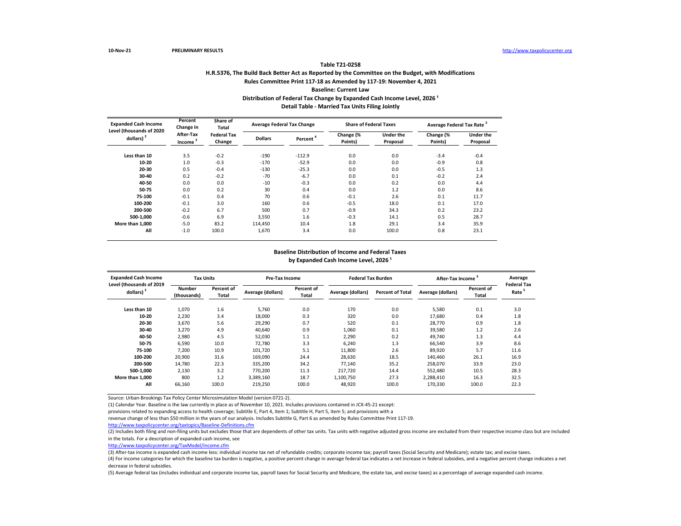## **H.R.5376, The Build Back Better Act as Reported by the Committee on the Budget, with Modifications Rules Committee Print 117-18 as Amended by 117-19: November 4, 2021 Baseline: Current Law Table T21-0258** Distribution of Federal Tax Change by Expanded Cash Income Level, 2026<sup>1</sup> **Detail Table - Married Tax Units Filing Jointly**

| <b>Expanded Cash Income</b>              | Percent<br>Change in             | Share of<br>Total            |                | <b>Average Federal Tax Change</b> | <b>Share of Federal Taxes</b> |                              | Average Federal Tax Rate <sup>5</sup> |                              |
|------------------------------------------|----------------------------------|------------------------------|----------------|-----------------------------------|-------------------------------|------------------------------|---------------------------------------|------------------------------|
| Level (thousands of 2020<br>dollars) $2$ | After-Tax<br>Income <sup>3</sup> | <b>Federal Tax</b><br>Change | <b>Dollars</b> | Percent <sup>'</sup>              | Change (%<br>Points)          | <b>Under the</b><br>Proposal | Change (%<br>Points)                  | <b>Under the</b><br>Proposal |
| Less than 10                             | 3.5                              | $-0.2$                       | $-190$         | $-112.9$                          | 0.0                           | 0.0                          | $-3.4$                                | $-0.4$                       |
| 10-20                                    | 1.0                              | $-0.3$                       | $-170$         | $-52.9$                           | 0.0                           | 0.0                          | $-0.9$                                | 0.8                          |
| 20-30                                    | 0.5                              | $-0.4$                       | $-130$         | $-25.3$                           | 0.0                           | 0.0                          | $-0.5$                                | 1.3                          |
| 30-40                                    | 0.2                              | $-0.2$                       | $-70$          | $-6.7$                            | 0.0                           | 0.1                          | $-0.2$                                | 2.4                          |
| 40-50                                    | 0.0                              | 0.0                          | $-10$          | $-0.3$                            | 0.0                           | 0.2                          | 0.0                                   | 4.4                          |
| 50-75                                    | 0.0                              | 0.2                          | 30             | 0.4                               | 0.0                           | 1.2                          | 0.0                                   | 8.6                          |
| 75-100                                   | $-0.1$                           | 0.4                          | 70             | 0.6                               | $-0.1$                        | 2.6                          | 0.1                                   | 11.7                         |
| 100-200                                  | $-0.1$                           | 3.0                          | 160            | 0.6                               | $-0.5$                        | 18.0                         | 0.1                                   | 17.0                         |
| 200-500                                  | $-0.2$                           | 6.7                          | 500            | 0.7                               | $-0.9$                        | 34.3                         | 0.2                                   | 23.2                         |
| 500-1,000                                | $-0.6$                           | 6.9                          | 3.550          | 1.6                               | $-0.3$                        | 14.1                         | 0.5                                   | 28.7                         |
| More than 1,000                          | $-5.0$                           | 83.2                         | 114,450        | 10.4                              | 1.8                           | 29.1                         | 3.4                                   | 35.9                         |
| All                                      | $-1.0$                           | 100.0                        | 1,670          | 3.4                               | 0.0                           | 100.0                        | 0.8                                   | 23.1                         |

### **Baseline Distribution of Income and Federal Taxes** by Expanded Cash Income Level, 2026<sup>1</sup>

| <b>Expanded Cash Income</b>                       | <b>Tax Units</b>      |                     | <b>Pre-Tax Income</b> |                     |                   | <b>Federal Tax Burden</b> |                   | After-Tax Income    | Average                                 |
|---------------------------------------------------|-----------------------|---------------------|-----------------------|---------------------|-------------------|---------------------------|-------------------|---------------------|-----------------------------------------|
| Level (thousands of 2019<br>dollars) <sup>2</sup> | Number<br>(thousands) | Percent of<br>Total | Average (dollars)     | Percent of<br>Total | Average (dollars) | <b>Percent of Total</b>   | Average (dollars) | Percent of<br>Total | <b>Federal Tax</b><br>Rate <sup>5</sup> |
| Less than 10                                      | 1,070                 | 1.6                 | 5,760                 | 0.0                 | 170               | 0.0                       | 5,580             | 0.1                 | 3.0                                     |
| 10-20                                             | 2,230                 | 3.4                 | 18,000                | 0.3                 | 320               | 0.0                       | 17,680            | 0.4                 | 1.8                                     |
| 20-30                                             | 3,670                 | 5.6                 | 29,290                | 0.7                 | 520               | 0.1                       | 28.770            | 0.9                 | 1.8                                     |
| 30-40                                             | 3,270                 | 4.9                 | 40,640                | 0.9                 | 1,060             | 0.1                       | 39,580            | 1.2                 | 2.6                                     |
| 40-50                                             | 2,980                 | 4.5                 | 52,030                | 1.1                 | 2,290             | 0.2                       | 49,740            | 1.3                 | 4.4                                     |
| 50-75                                             | 6,590                 | 10.0                | 72,780                | 3.3                 | 6,240             | 1.3                       | 66,540            | 3.9                 | 8.6                                     |
| 75-100                                            | 7.200                 | 10.9                | 101,720               | 5.1                 | 11,800            | 2.6                       | 89.920            | 5.7                 | 11.6                                    |
| 100-200                                           | 20,900                | 31.6                | 169,090               | 24.4                | 28,630            | 18.5                      | 140.460           | 26.1                | 16.9                                    |
| 200-500                                           | 14,780                | 22.3                | 335,200               | 34.2                | 77.140            | 35.2                      | 258,070           | 33.9                | 23.0                                    |
| 500-1.000                                         | 2,130                 | 3.2                 | 770,200               | 11.3                | 217,720           | 14.4                      | 552,480           | 10.5                | 28.3                                    |
| More than 1.000                                   | 800                   | 1.2                 | 3,389,160             | 18.7                | 1,100,750         | 27.3                      | 2,288,410         | 16.3                | 32.5                                    |
| All                                               | 66,160                | 100.0               | 219,250               | 100.0               | 48,920            | 100.0                     | 170,330           | 100.0               | 22.3                                    |

Source: Urban-Brookings Tax Policy Center Microsimulation Model (version 0721-2).

(1) Calendar Year. Baseline is the law currently in place as of November 10, 2021. Includes provisions contained in JCX-45-21 except:

provisions related to expanding access to health coverage; Subtitle E, Part 4, item 1; Subtitle H, Part 5, item 5; and provisions with a

revenue change of less than \$50 million in the years of our analysis. Includes Subtitle G, Part 6 as amended by Rules Committee Print 117-19.

<http://www.taxpolicycenter.org/taxtopics/Baseline-Definitions.cfm>

(2) Includes both filing and non-filing units but excludes those that are dependents of other tax units. Tax units with negative adjusted gross income are excluded from their respective income class but are included in the totals. For a description of expanded cash income, see

[http://www.taxpolicycente](http://www.taxpolicycenter.org/TaxModel/income.cfm)r.org/TaxModel/income.cfm

(3) After-tax income is expanded cash income less: individual income tax net of refundable credits; corporate income tax; payroll taxes (Social Security and Medicare); estate tax; and excise taxes.

(4) For income categories for which the baseline tax burden is negative, a positive percent change in average federal tax indicates a net increase in federal subsidies, and a negative percent change indicates a net decrease in federal subsidies.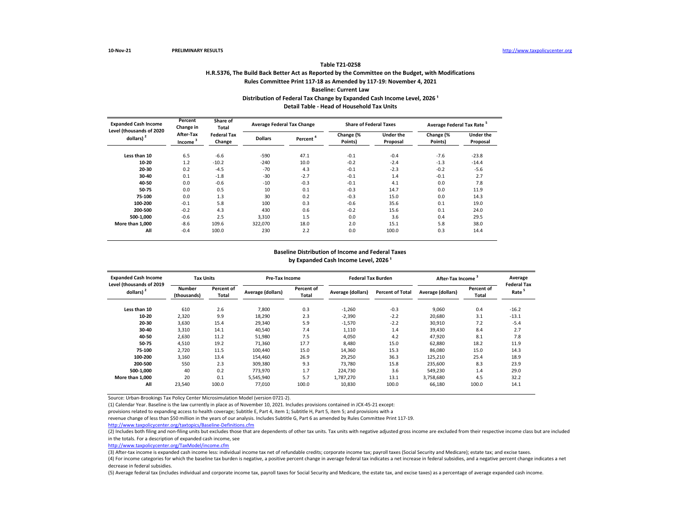## **H.R.5376, The Build Back Better Act as Reported by the Committee on the Budget, with Modifications Rules Committee Print 117-18 as Amended by 117-19: November 4, 2021 Baseline: Current Law Table T21-0258** Distribution of Federal Tax Change by Expanded Cash Income Level, 2026<sup>1</sup> **Detail Table - Head of Household Tax Units**

| <b>Expanded Cash Income</b><br>Level (thousands of 2020 | Percent<br>Change in             | Share of<br>Total            |                | <b>Average Federal Tax Change</b> | <b>Share of Federal Taxes</b> |                              | Average Federal Tax Rate <sup>5</sup> |                              |
|---------------------------------------------------------|----------------------------------|------------------------------|----------------|-----------------------------------|-------------------------------|------------------------------|---------------------------------------|------------------------------|
| dollars) $2$                                            | After-Tax<br>Income <sup>3</sup> | <b>Federal Tax</b><br>Change | <b>Dollars</b> | Percent <sup>'</sup>              | Change (%<br>Points)          | <b>Under the</b><br>Proposal | Change (%<br>Points)                  | <b>Under the</b><br>Proposal |
| Less than 10                                            | 6.5                              | $-6.6$                       | $-590$         | 47.1                              | $-0.1$                        | $-0.4$                       | $-7.6$                                | $-23.8$                      |
| 10-20                                                   | 1.2                              | $-10.2$                      | $-240$         | 10.0                              | $-0.2$                        | $-2.4$                       | $-1.3$                                | $-14.4$                      |
| 20-30                                                   | 0.2                              | $-4.5$                       | $-70$          | 4.3                               | $-0.1$                        | $-2.3$                       | $-0.2$                                | $-5.6$                       |
| 30-40                                                   | 0.1                              | $-1.8$                       | $-30$          | $-2.7$                            | $-0.1$                        | 1.4                          | $-0.1$                                | 2.7                          |
| 40-50                                                   | 0.0                              | $-0.6$                       | $-10$          | $-0.3$                            | $-0.1$                        | 4.1                          | 0.0                                   | 7.8                          |
| 50-75                                                   | 0.0                              | 0.5                          | 10             | 0.1                               | $-0.3$                        | 14.7                         | 0.0                                   | 11.9                         |
| 75-100                                                  | 0.0                              | 1.3                          | 30             | 0.2                               | $-0.3$                        | 15.0                         | 0.0                                   | 14.3                         |
| 100-200                                                 | $-0.1$                           | 5.8                          | 100            | 0.3                               | $-0.6$                        | 35.6                         | 0.1                                   | 19.0                         |
| 200-500                                                 | $-0.2$                           | 4.3                          | 430            | 0.6                               | $-0.2$                        | 15.6                         | 0.1                                   | 24.0                         |
| 500-1,000                                               | $-0.6$                           | 2.5                          | 3,310          | 1.5                               | 0.0                           | 3.6                          | 0.4                                   | 29.5                         |
| More than 1.000                                         | $-8.6$                           | 109.6                        | 322,070        | 18.0                              | 2.0                           | 15.1                         | 5.8                                   | 38.0                         |
| All                                                     | $-0.4$                           | 100.0                        | 230            | 2.2                               | 0.0                           | 100.0                        | 0.3                                   | 14.4                         |

### **Baseline Distribution of Income and Federal Taxes** by Expanded Cash Income Level, 2026<sup>1</sup>

| <b>Expanded Cash Income</b><br>Level (thousands of 2019 | <b>Tax Units</b>             |                     | Pre-Tax Income    |                     | <b>Federal Tax Burden</b> |                         | After-Tax Income  |                     | Average<br><b>Federal Tax</b> |
|---------------------------------------------------------|------------------------------|---------------------|-------------------|---------------------|---------------------------|-------------------------|-------------------|---------------------|-------------------------------|
| dollars) <sup>2</sup>                                   | <b>Number</b><br>(thousands) | Percent of<br>Total | Average (dollars) | Percent of<br>Total | Average (dollars)         | <b>Percent of Total</b> | Average (dollars) | Percent of<br>Total | Rate <sup>5</sup>             |
| Less than 10                                            | 610                          | 2.6                 | 7.800             | 0.3                 | $-1,260$                  | $-0.3$                  | 9.060             | 0.4                 | $-16.2$                       |
| 10-20                                                   | 2,320                        | 9.9                 | 18.290            | 2.3                 | $-2,390$                  | $-2.2$                  | 20.680            | 3.1                 | $-13.1$                       |
| 20-30                                                   | 3,630                        | 15.4                | 29,340            | 5.9                 | $-1,570$                  | $-2.2$                  | 30.910            | 7.2                 | $-5.4$                        |
| 30-40                                                   | 3,310                        | 14.1                | 40,540            | 7.4                 | 1,110                     | 1.4                     | 39,430            | 8.4                 | 2.7                           |
| 40-50                                                   | 2,630                        | 11.2                | 51,980            | 7.5                 | 4,050                     | 4.2                     | 47.920            | 8.1                 | 7.8                           |
| 50-75                                                   | 4,510                        | 19.2                | 71,360            | 17.7                | 8.480                     | 15.0                    | 62,880            | 18.2                | 11.9                          |
| 75-100                                                  | 2,720                        | 11.5                | 100,440           | 15.0                | 14,360                    | 15.3                    | 86,080            | 15.0                | 14.3                          |
| 100-200                                                 | 3,160                        | 13.4                | 154,460           | 26.9                | 29,250                    | 36.3                    | 125,210           | 25.4                | 18.9                          |
| 200-500                                                 | 550                          | 2.3                 | 309.380           | 9.3                 | 73.780                    | 15.8                    | 235.600           | 8.3                 | 23.9                          |
| 500-1.000                                               | 40                           | 0.2                 | 773.970           | 1.7                 | 224.730                   | 3.6                     | 549.230           | 1.4                 | 29.0                          |
| More than 1.000                                         | 20                           | 0.1                 | 5,545,940         | 5.7                 | 1,787,270                 | 13.1                    | 3,758,680         | 4.5                 | 32.2                          |
| All                                                     | 23,540                       | 100.0               | 77,010            | 100.0               | 10,830                    | 100.0                   | 66,180            | 100.0               | 14.1                          |

Source: Urban-Brookings Tax Policy Center Microsimulation Model (version 0721-2).

(1) Calendar Year. Baseline is the law currently in place as of November 10, 2021. Includes provisions contained in JCX-45-21 except:

provisions related to expanding access to health coverage; Subtitle E, Part 4, item 1; Subtitle H, Part 5, item 5; and provisions with a

revenue change of less than \$50 million in the years of our analysis. Includes Subtitle G, Part 6 as amended by Rules Committee Print 117-19.

<http://www.taxpolicycenter.org/taxtopics/Baseline-Definitions.cfm>

(2) Includes both filing and non-filing units but excludes those that are dependents of other tax units. Tax units with negative adjusted gross income are excluded from their respective income class but are included in the totals. For a description of expanded cash income, see

[http://www.taxpolicycente](http://www.taxpolicycenter.org/TaxModel/income.cfm)r.org/TaxModel/income.cfm

(3) After-tax income is expanded cash income less: individual income tax net of refundable credits; corporate income tax; payroll taxes (Social Security and Medicare); estate tax; and excise taxes.

(4) For income categories for which the baseline tax burden is negative, a positive percent change in average federal tax indicates a net increase in federal subsidies, and a negative percent change indicates a net decrease in federal subsidies.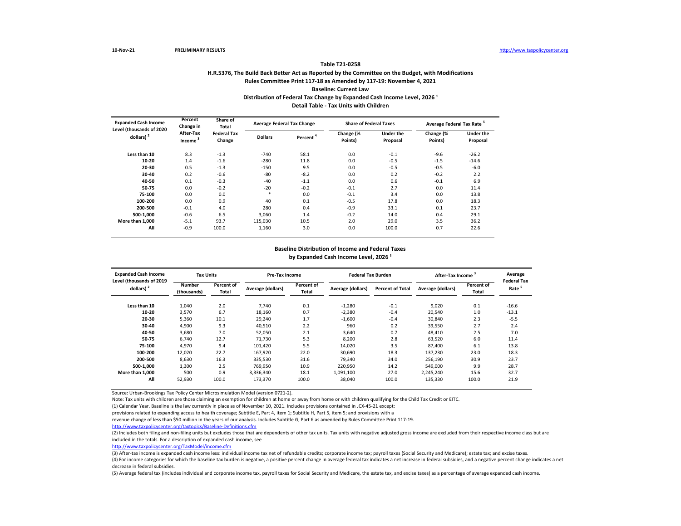## **H.R.5376, The Build Back Better Act as Reported by the Committee on the Budget, with Modifications Rules Committee Print 117-18 as Amended by 117-19: November 4, 2021 Baseline: Current Law Table T21-0258** Distribution of Federal Tax Change by Expanded Cash Income Level, 2026<sup>1</sup> **Detail Table - Tax Units with Children**

| <b>Expanded Cash Income</b> | Percent<br>Change in<br>Level (thousands of 2020 |                              | Average Federal Tax Change |                      | <b>Share of Federal Taxes</b> |                              | Average Federal Tax Rate <sup>5</sup> |                              |  |
|-----------------------------|--------------------------------------------------|------------------------------|----------------------------|----------------------|-------------------------------|------------------------------|---------------------------------------|------------------------------|--|
| dollars) <sup>2</sup>       | After-Tax<br>Income <sup>3</sup>                 | <b>Federal Tax</b><br>Change | <b>Dollars</b>             | Percent <sup>4</sup> | Change (%<br>Points)          | <b>Under the</b><br>Proposal | Change (%<br>Points)                  | <b>Under the</b><br>Proposal |  |
| Less than 10                | 8.3                                              | $-1.3$                       | $-740$                     | 58.1                 | 0.0                           | $-0.1$                       | $-9.6$                                | $-26.2$                      |  |
| 10-20                       | 1.4                                              | $-1.6$                       | $-280$                     | 11.8                 | 0.0                           | $-0.5$                       | $-1.5$                                | $-14.6$                      |  |
| 20-30                       | 0.5                                              | $-1.3$                       | $-150$                     | 9.5                  | 0.0                           | $-0.5$                       | $-0.5$                                | $-6.0$                       |  |
| 30-40                       | 0.2                                              | $-0.6$                       | $-80$                      | $-8.2$               | 0.0                           | 0.2                          | $-0.2$                                | 2.2                          |  |
| 40-50                       | 0.1                                              | $-0.3$                       | $-40$                      | $-1.1$               | 0.0                           | 0.6                          | $-0.1$                                | 6.9                          |  |
| 50-75                       | 0.0                                              | $-0.2$                       | $-20$                      | $-0.2$               | $-0.1$                        | 2.7                          | 0.0                                   | 11.4                         |  |
| 75-100                      | 0.0                                              | 0.0                          | $*$                        | 0.0                  | $-0.1$                        | 3.4                          | 0.0                                   | 13.8                         |  |
| 100-200                     | 0.0                                              | 0.9                          | 40                         | 0.1                  | $-0.5$                        | 17.8                         | 0.0                                   | 18.3                         |  |
| 200-500                     | $-0.1$                                           | 4.0                          | 280                        | 0.4                  | $-0.9$                        | 33.1                         | 0.1                                   | 23.7                         |  |
| 500-1.000                   | $-0.6$                                           | 6.5                          | 3.060                      | 1.4                  | $-0.2$                        | 14.0                         | 0.4                                   | 29.1                         |  |
| More than 1.000             | $-5.1$                                           | 93.7                         | 115,030                    | 10.5                 | 2.0                           | 29.0                         | 3.5                                   | 36.2                         |  |
| All                         | $-0.9$                                           | 100.0                        | 1,160                      | 3.0                  | 0.0                           | 100.0                        | 0.7                                   | 22.6                         |  |

#### **Baseline Distribution of Income and Federal Taxes** by Expanded Cash Income Level, 2026<sup>1</sup>

| <b>Expanded Cash Income</b>              | <b>Tax Units</b>      |                     | <b>Pre-Tax Income</b> |                     | <b>Federal Tax Burden</b> |                         | After-Tax Income <sup>°</sup> |                     | Average                                 |
|------------------------------------------|-----------------------|---------------------|-----------------------|---------------------|---------------------------|-------------------------|-------------------------------|---------------------|-----------------------------------------|
| Level (thousands of 2019<br>dollars) $2$ | Number<br>(thousands) | Percent of<br>Total | Average (dollars)     | Percent of<br>Total | Average (dollars)         | <b>Percent of Total</b> | Average (dollars)             | Percent of<br>Total | <b>Federal Tax</b><br>Rate <sup>5</sup> |
| Less than 10                             | 1,040                 | 2.0                 | 7.740                 | 0.1                 | $-1,280$                  | $-0.1$                  | 9,020                         | 0.1                 | $-16.6$                                 |
| 10-20                                    | 3,570                 | 6.7                 | 18,160                | 0.7                 | $-2,380$                  | $-0.4$                  | 20,540                        | 1.0                 | $-13.1$                                 |
| 20-30                                    | 5,360                 | 10.1                | 29,240                | 1.7                 | $-1,600$                  | $-0.4$                  | 30,840                        | 2.3                 | $-5.5$                                  |
| 30-40                                    | 4,900                 | 9.3                 | 40,510                | 2.2                 | 960                       | 0.2                     | 39,550                        | 2.7                 | 2.4                                     |
| 40-50                                    | 3,680                 | 7.0                 | 52,050                | 2.1                 | 3,640                     | 0.7                     | 48,410                        | 2.5                 | 7.0                                     |
| 50-75                                    | 6,740                 | 12.7                | 71,730                | 5.3                 | 8,200                     | 2.8                     | 63,520                        | 6.0                 | 11.4                                    |
| 75-100                                   | 4,970                 | 9.4                 | 101,420               | 5.5                 | 14,020                    | 3.5                     | 87.400                        | 6.1                 | 13.8                                    |
| 100-200                                  | 12,020                | 22.7                | 167,920               | 22.0                | 30,690                    | 18.3                    | 137,230                       | 23.0                | 18.3                                    |
| 200-500                                  | 8,630                 | 16.3                | 335,530               | 31.6                | 79,340                    | 34.0                    | 256,190                       | 30.9                | 23.7                                    |
| 500-1.000                                | 1,300                 | 2.5                 | 769.950               | 10.9                | 220,950                   | 14.2                    | 549,000                       | 9.9                 | 28.7                                    |
| More than 1,000                          | 500                   | 0.9                 | 3,336,340             | 18.1                | 1,091,100                 | 27.0                    | 2,245,240                     | 15.6                | 32.7                                    |
| All                                      | 52,930                | 100.0               | 173,370               | 100.0               | 38,040                    | 100.0                   | 135,330                       | 100.0               | 21.9                                    |

Source: Urban-Brookings Tax Policy Center Microsimulation Model (version 0721-2).

Note: Tax units with children are those claiming an exemption for children at home or away from home or with children qualifying for the Child Tax Credit or EITC.

(1) Calendar Year. Baseline is the law currently in place as of November 10, 2021. Includes provisions contained in JCX-45-21 except:

provisions related to expanding access to health coverage; Subtitle E, Part 4, item 1; Subtitle H, Part 5, item 5; and provisions with a

revenue change of less than \$50 million in the years of our analysis. Includes Subtitle G, Part 6 as amended by Rules Committee Print 117-19.

<http://www.taxpolicycenter.org/taxtopics/Baseline-Definitions.cfm>

(2) Includes both filing and non-filing units but excludes those that are dependents of other tax units. Tax units with negative adjusted gross income are excluded from their respective income class but are included in the totals. For a description of expanded cash income, see

[http://www.taxpolicycente](http://www.taxpolicycenter.org/TaxModel/income.cfm)r.org/TaxModel/income.cfm

(3) After-tax income is expanded cash income less: individual income tax net of refundable credits; corporate income tax; payroll taxes (Social Security and Medicare); estate tax; and excise taxes.

(4) For income categories for which the baseline tax burden is negative, a positive percent change in average federal tax indicates a net increase in federal subsidies, and a negative percent change indicates a net decrease in federal subsidies.